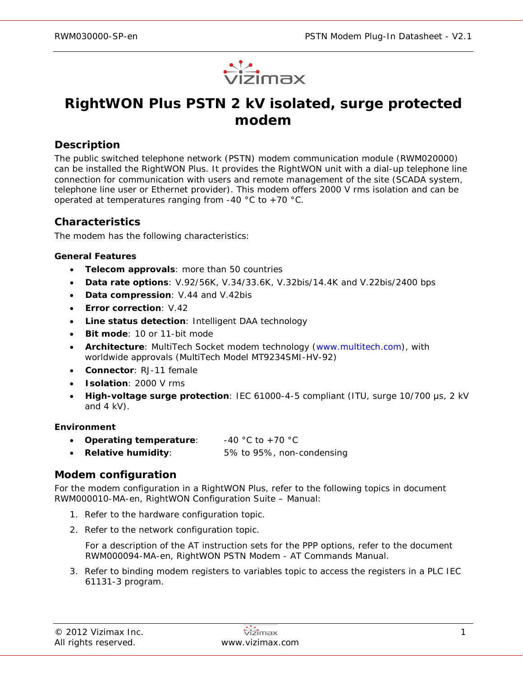

# **RightWON Plus PSTN 2 kV isolated, surge protected modem**

## **Description**

The public switched telephone network (PSTN) modem communication module (RWM020000) can be installed the RightWON Plus. It provides the RightWON unit with a dial-up telephone line connection for communication with users and remote management of the site (SCADA system, telephone line user or Ethernet provider). This modem offers 2000 V rms isolation and can be operated at temperatures ranging from -40 °C to +70 °C.

## **Characteristics**

The modem has the following characteristics:

#### **General Features**

- **Telecom approvals**: more than 50 countries
- **Data rate options**: V.92/56K, V.34/33.6K, V.32bis/14.4K and V.22bis/2400 bps
- **Data compression**: V.44 and V.42bis
- **Error correction: V.42**
- **Line status detection: Intelligent DAA technology**
- **Bit mode: 10 or 11-bit mode**
- **Architecture**: MultiTech Socket modem technology [\(www.multitech.com\)](http://www.multitech.com/), with worldwide approvals (MultiTech Model MT9234SMI-HV-92)
- **Connector**: RJ-11 female
- **Isolation**: 2000 V rms
- **High-voltage surge protection**: IEC 61000-4-5 compliant (ITU, surge 10/700 μs, 2 kV and 4 kV).

#### **Environment**

- **Operating temperature**:  $-40 \degree C$  to +70  $\degree C$
- **Relative humidity**: 5% to 95%, non-condensing

## **Modem configuration**

For the modem configuration in a RightWON Plus, refer to the following topics in document *RWM000010-MA-en, RightWON Configuration Suite – Manual*:

- 1. Refer to the hardware configuration topic.
- 2. Refer to the network configuration topic.

For a description of the AT instruction sets for the PPP options, refer to the document *RWM000094-MA-en, RightWON PSTN Modem - AT Commands Manual*.

3. Refer to binding modem registers to variables topic to access the registers in a PLC IEC 61131-3 program.